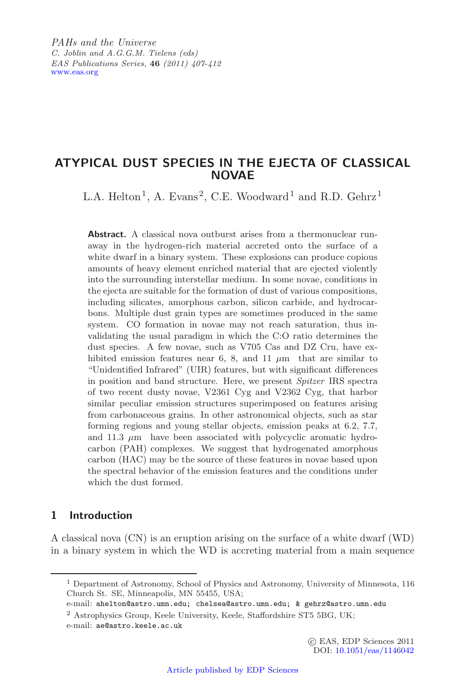*PAHs and the Universe C. Joblin and A.G.G.M. Tielens (eds) EAS Publications Series,* **46** *(2011) 407-412* [www.eas.org](http://www.eas.org)

## **ATYPICAL DUST SPECIES IN THE EJECTA OF CLASSICAL NOVAE**

L.A. Helton<sup>1</sup>, A. Evans<sup>2</sup>, C.E. Woodward<sup>1</sup> and R.D. Gehrz<sup>1</sup>

**Abstract.** A classical nova outburst arises from a thermonuclear runaway in the hydrogen-rich material accreted onto the surface of a white dwarf in a binary system. These explosions can produce copious amounts of heavy element enriched material that are ejected violently into the surrounding interstellar medium. In some novae, conditions in the ejecta are suitable for the formation of dust of various compositions, including silicates, amorphous carbon, silicon carbide, and hydrocarbons. Multiple dust grain types are sometimes produced in the same system. CO formation in novae may not reach saturation, thus invalidating the usual paradigm in which the C:O ratio determines the dust species. A few novae, such as V705 Cas and DZ Cru, have exhibited emission features near 6, 8, and 11  $\mu$ m that are similar to "Unidentified Infrared" (UIR) features, but with significant differences in position and band structure. Here, we present *Spitzer* IRS spectra of two recent dusty novae, V2361 Cyg and V2362 Cyg, that harbor similar peculiar emission structures superimposed on features arising from carbonaceous grains. In other astronomical objects, such as star forming regions and young stellar objects, emission peaks at 6.2, 7.7, and  $11.3 \mu m$  have been associated with polycyclic aromatic hydrocarbon (PAH) complexes. We suggest that hydrogenated amorphous carbon (HAC) may be the source of these features in novae based upon the spectral behavior of the emission features and the conditions under which the dust formed.

## **1 Introduction**

A classical nova (CN) is an eruption arising on the surface of a white dwarf (WD) in a binary system in which the WD is accreting material from a main sequence

<sup>2</sup> Astrophysics Group, Keele University, Keele, Staffordshire ST5 5BG, UK;

e-mail: ae@astro.keele.ac.uk

<sup>1</sup> Department of Astronomy, School of Physics and Astronomy, University of Minnesota, 116 Church St. SE, Minneapolis, MN 55455, USA;

e-mail: ahelton@astro.umn.edu; chelsea@astro.umn.edu; & gehrz@astro.umn.edu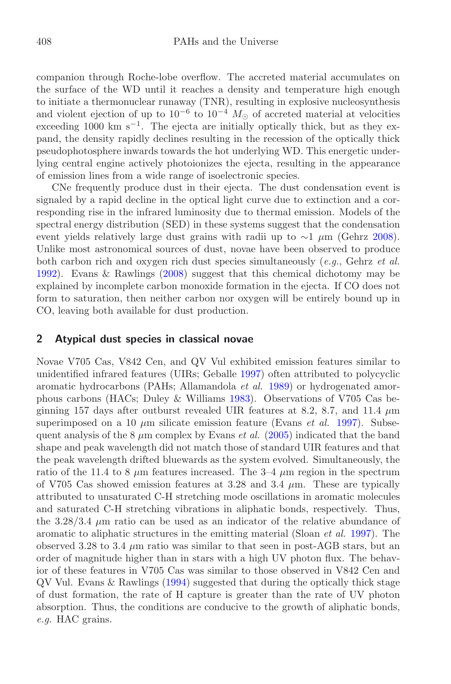companion through Roche-lobe overflow. The accreted material accumulates on the surface of the WD until it reaches a density and temperature high enough to initiate a thermonuclear runaway (TNR), resulting in explosive nucleosynthesis and violent ejection of up to  $10^{-6}$  to  $10^{-4}$   $M_{\odot}$  of accreted material at velocities exceeding 1000 km s<sup> $-1$ </sup>. The ejecta are initially optically thick, but as they expand, the density rapidly declines resulting in the recession of the optically thick pseudophotosphere inwards towards the hot underlying WD. This energetic underlying central engine actively photoionizes the ejecta, resulting in the appearance of emission lines from a wide range of isoelectronic species.

CNe frequently produce dust in their ejecta. The dust condensation event is signaled by a rapid decline in the optical light curve due to extinction and a corresponding rise in the infrared luminosity due to thermal emission. Models of the spectral energy distribution (SED) in these systems suggest that the condensation event yields relatively large dust grains with radii up to ∼1 *µ*m (Gehrz [2008](#page-5-0)). Unlike most astronomical sources of dust, novae have been observed to produce both carbon rich and oxygen rich dust species simultaneously (*e.g.*, Gehrz *et al.* [1992\)](#page-5-1). Evans & Rawlings [\(2008\)](#page-5-2) suggest that this chemical dichotomy may be explained by incomplete carbon monoxide formation in the ejecta. If CO does not form to saturation, then neither carbon nor oxygen will be entirely bound up in CO, leaving both available for dust production.

## **2 Atypical dust species in classical novae**

Novae V705 Cas, V842 Cen, and QV Vul exhibited emission features similar to unidentified infrared features (UIRs; Geballe [1997](#page-5-3)) often attributed to polycyclic aromatic hydrocarbons (PAHs; Allamandola *et al.* [1989\)](#page-5-4) or hydrogenated amorphous carbons (HACs; Duley & Williams [1983\)](#page-5-5). Observations of V705 Cas beginning 157 days after outburst revealed UIR features at 8.2, 8.7, and 11.4 *µ*m superimposed on a 10  $\mu$ m silicate emission feature (Evans *et al.* [1997](#page-5-6)). Subsequent analysis of the 8 *µ*m complex by Evans *et al.* [\(2005\)](#page-5-7) indicated that the band shape and peak wavelength did not match those of standard UIR features and that the peak wavelength drifted bluewards as the system evolved. Simultaneously, the ratio of the 11.4 to 8  $\mu$ m features increased. The 3–4  $\mu$ m region in the spectrum of V705 Cas showed emission features at 3.28 and 3.4 *µ*m. These are typically attributed to unsaturated C-H stretching mode oscillations in aromatic molecules and saturated C-H stretching vibrations in aliphatic bonds, respectively. Thus, the  $3.28/3.4 \mu m$  ratio can be used as an indicator of the relative abundance of aromatic to aliphatic structures in the emitting material (Sloan *et al.* [1997\)](#page-5-8). The observed 3.28 to 3.4  $\mu$ m ratio was similar to that seen in post-AGB stars, but an order of magnitude higher than in stars with a high UV photon flux. The behavior of these features in V705 Cas was similar to those observed in V842 Cen and QV Vul. Evans & Rawlings [\(1994\)](#page-5-9) suggested that during the optically thick stage of dust formation, the rate of H capture is greater than the rate of UV photon absorption. Thus, the conditions are conducive to the growth of aliphatic bonds, *e.g.* HAC grains.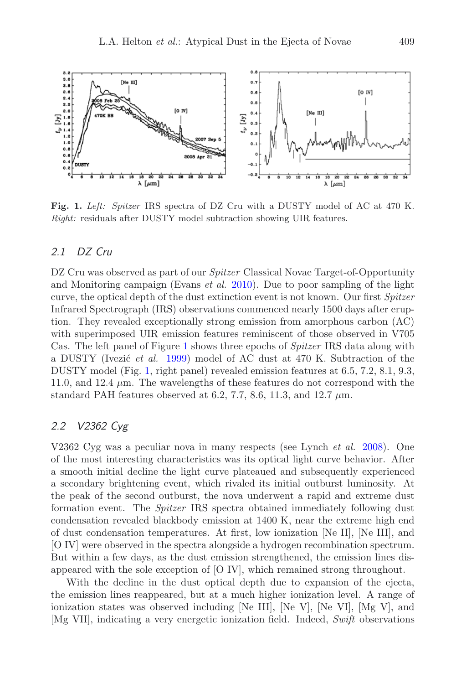<span id="page-2-0"></span>

**Fig. 1.** *Left: Spitzer* IRS spectra of DZ Cru with a DUSTY model of AC at 470 K. *Right:* residuals after DUSTY model subtraction showing UIR features.

#### DZ Cru  $21$

DZ Cru was observed as part of our *Spitzer* Classical Novae Target-of-Opportunity and Monitoring campaign (Evans *et al.* [2010\)](#page-5-10). Due to poor sampling of the light curve, the optical depth of the dust extinction event is not known. Our first *Spitzer* Infrared Spectrograph (IRS) observations commenced nearly 1500 days after eruption. They revealed exceptionally strong emission from amorphous carbon (AC) with superimposed UIR emission features reminiscent of those observed in V705 Cas. The left panel of Figure [1](#page-2-0) shows three epochs of *Spitzer* IRS data along with a DUSTY (Ivezić *et al.* [1999\)](#page-5-11) model of AC dust at 470 K. Subtraction of the DUSTY model (Fig. [1,](#page-2-0) right panel) revealed emission features at 6.5, 7.2, 8.1, 9.3, 11.0, and 12.4  $\mu$ m. The wavelengths of these features do not correspond with the standard PAH features observed at 6.2, 7.7, 8.6, 11.3, and 12.7  $\mu$ m.

# *2.2 V2362 Cyg*

V2362 Cyg was a peculiar nova in many respects (see Lynch *et al.* [2008](#page-5-12)). One of the most interesting characteristics was its optical light curve behavior. After a smooth initial decline the light curve plateaued and subsequently experienced a secondary brightening event, which rivaled its initial outburst luminosity. At the peak of the second outburst, the nova underwent a rapid and extreme dust formation event. The *Spitzer* IRS spectra obtained immediately following dust condensation revealed blackbody emission at 1400 K, near the extreme high end of dust condensation temperatures. At first, low ionization [Ne II], [Ne III], and [O IV] were observed in the spectra alongside a hydrogen recombination spectrum. But within a few days, as the dust emission strengthened, the emission lines disappeared with the sole exception of [O IV], which remained strong throughout.

With the decline in the dust optical depth due to expansion of the ejecta, the emission lines reappeared, but at a much higher ionization level. A range of ionization states was observed including [Ne III], [Ne V], [Ne VI], [Mg V], and [Mg VII], indicating a very energetic ionization field. Indeed, *Swift* observations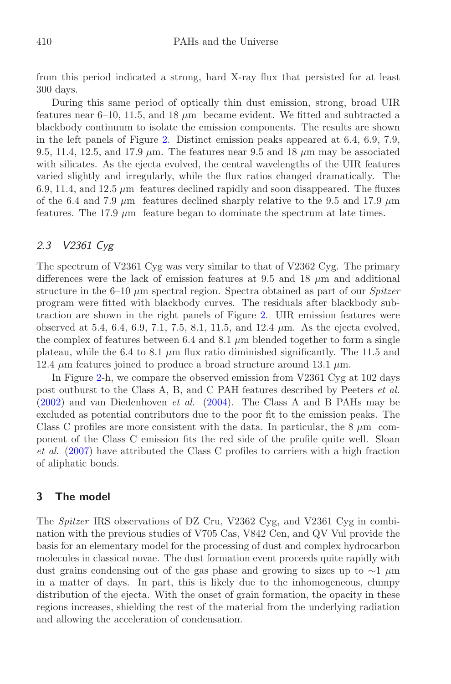from this period indicated a strong, hard X-ray flux that persisted for at least 300 days.

During this same period of optically thin dust emission, strong, broad UIR features near  $6-10$ , 11.5, and 18  $\mu$ m became evident. We fitted and subtracted a blackbody continuum to isolate the emission components. The results are shown in the left panels of Figure [2.](#page-4-0) Distinct emission peaks appeared at 6.4, 6.9, 7.9, 9.5, 11.4, 12.5, and 17.9  $\mu$ m. The features near 9.5 and 18  $\mu$ m may be associated with silicates. As the ejecta evolved, the central wavelengths of the UIR features varied slightly and irregularly, while the flux ratios changed dramatically. The 6.9, 11.4, and 12.5  $\mu$ m features declined rapidly and soon disappeared. The fluxes of the 6.4 and 7.9  $\mu$ m features declined sharply relative to the 9.5 and 17.9  $\mu$ m features. The 17.9 *µ*m feature began to dominate the spectrum at late times.

# *2.3 V2361 Cyg*

The spectrum of V2361 Cyg was very similar to that of V2362 Cyg. The primary differences were the lack of emission features at  $9.5$  and  $18 \mu m$  and additional structure in the 6–10 *µ*m spectral region. Spectra obtained as part of our *Spitzer* program were fitted with blackbody curves. The residuals after blackbody subtraction are shown in the right panels of Figure [2.](#page-4-0) UIR emission features were observed at 5.4, 6.4, 6.9, 7.1, 7.5, 8.1, 11.5, and 12.4 *µ*m. As the ejecta evolved, the complex of features between 6.4 and 8.1  $\mu$ m blended together to form a single plateau, while the 6.4 to 8.1  $\mu$ m flux ratio diminished significantly. The 11.5 and 12.4  $\mu$ m features joined to produce a broad structure around 13.1  $\mu$ m.

In Figure [2-](#page-4-0)h, we compare the observed emission from V2361 Cyg at 102 days post outburst to the Class A, B, and C PAH features described by Peeters *et al.* [\(2002](#page-5-13)) and van Diedenhoven *et al.* [\(2004\)](#page-5-14). The Class A and B PAHs may be excluded as potential contributors due to the poor fit to the emission peaks. The Class C profiles are more consistent with the data. In particular, the 8 *µ*m component of the Class C emission fits the red side of the profile quite well. Sloan *et al.* [\(2007\)](#page-5-15) have attributed the Class C profiles to carriers with a high fraction of aliphatic bonds.

## **3 The model**

The *Spitzer* IRS observations of DZ Cru, V2362 Cyg, and V2361 Cyg in combination with the previous studies of V705 Cas, V842 Cen, and QV Vul provide the basis for an elementary model for the processing of dust and complex hydrocarbon molecules in classical novae. The dust formation event proceeds quite rapidly with dust grains condensing out of the gas phase and growing to sizes up to ∼1 *µ*m in a matter of days. In part, this is likely due to the inhomogeneous, clumpy distribution of the ejecta. With the onset of grain formation, the opacity in these regions increases, shielding the rest of the material from the underlying radiation and allowing the acceleration of condensation.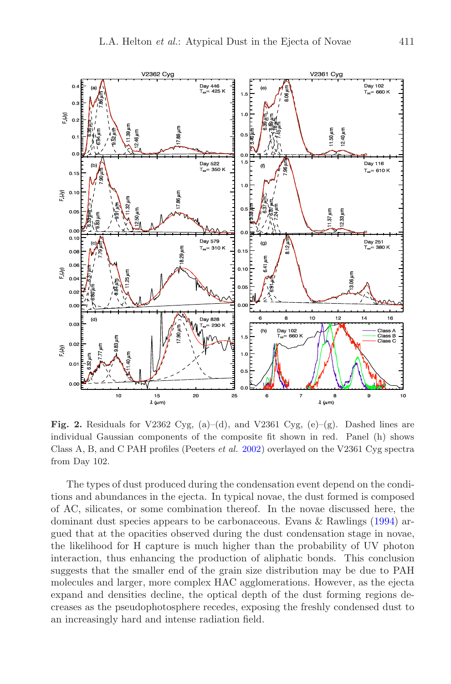

<span id="page-4-0"></span>**Fig. 2.** Residuals for V2362 Cyg,  $(a)$ – $(d)$ , and V2361 Cyg,  $(e)$ – $(g)$ . Dashed lines are individual Gaussian components of the composite fit shown in red. Panel (h) shows Class A, B, and C PAH profiles (Peeters *et al.* [2002](#page-5-13)) overlayed on the V2361 Cyg spectra from Day 102.

The types of dust produced during the condensation event depend on the conditions and abundances in the ejecta. In typical novae, the dust formed is composed of AC, silicates, or some combination thereof. In the novae discussed here, the dominant dust species appears to be carbonaceous. Evans & Rawlings [\(1994\)](#page-5-9) argued that at the opacities observed during the dust condensation stage in novae, the likelihood for H capture is much higher than the probability of UV photon interaction, thus enhancing the production of aliphatic bonds. This conclusion suggests that the smaller end of the grain size distribution may be due to PAH molecules and larger, more complex HAC agglomerations. However, as the ejecta expand and densities decline, the optical depth of the dust forming regions decreases as the pseudophotosphere recedes, exposing the freshly condensed dust to an increasingly hard and intense radiation field.